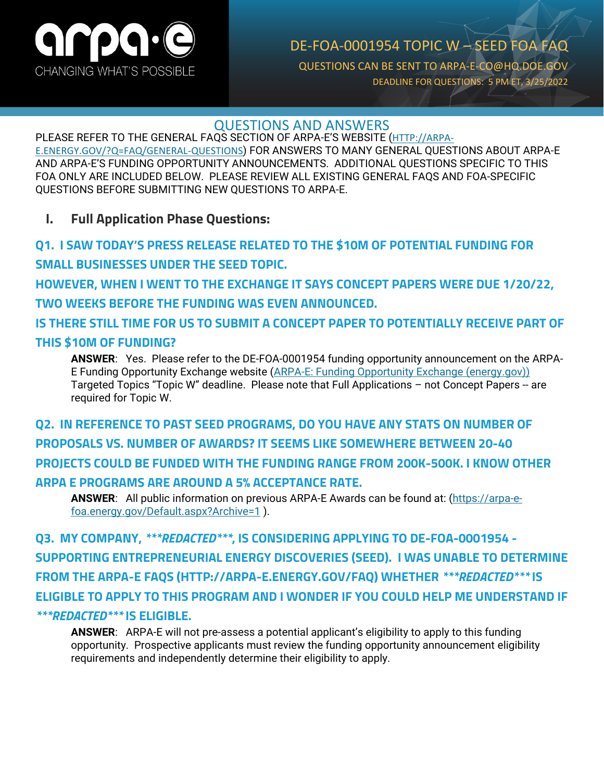

### DE-FOA-0001954 TOPIC W – SEED FOA FAQ QUESTIONS CAN BE SENT TO ARPA-E-CO@HQ.DOE.GOV DEADLINE FOR QUESTIONS: 5 PM ET, 3/25/2022

### QUESTIONS AND ANSWERS

PLEASE REFER TO THE GENERAL FAQS SECTION OF ARPA-E'S WEBSITE ([HTTP://ARPA-](http://arpa-e.energy.gov/?Q=FAQ/GENERAL-QUESTIONS)[E.ENERGY.GOV/?Q=FAQ/GENERAL-QUESTIONS](http://arpa-e.energy.gov/?Q=FAQ/GENERAL-QUESTIONS)) FOR ANSWERS TO MANY GENERAL QUESTIONS ABOUT ARPA-E AND ARPA-E'S FUNDING OPPORTUNITY ANNOUNCEMENTS. ADDITIONAL QUESTIONS SPECIFIC TO THIS FOA ONLY ARE INCLUDED BELOW. PLEASE REVIEW ALL EXISTING GENERAL FAQS AND FOA-SPECIFIC QUESTIONS BEFORE SUBMITTING NEW QUESTIONS TO ARPA-E.

**I. Full Application Phase Questions:**

**Q1. I SAW TODAY'S PRESS RELEASE RELATED TO THE \$10M OF POTENTIAL FUNDING FOR SMALL BUSINESSES UNDER THE SEED TOPIC. HOWEVER, WHEN I WENT TO THE EXCHANGE IT SAYS CONCEPT PAPERS WERE DUE 1/20/22, TWO WEEKS BEFORE THE FUNDING WAS EVEN ANNOUNCED. IS THERE STILL TIME FOR US TO SUBMIT A CONCEPT PAPER TO POTENTIALLY RECEIVE PART OF THIS \$10M OF FUNDING? ANSWER**: Yes. Please refer to the DE-FOA-0001954 funding opportunity announcement on the ARPA-

E Funding Opportunity Exchange website [\(ARPA-E: Funding Opportunity Exchange \(energy.gov\)\)](https://arpa-e-foa.energy.gov/) Targeted Topics "Topic W" deadline. Please note that Full Applications – not Concept Papers -- are required for Topic W.

**Q2. IN REFERENCE TO PAST SEED PROGRAMS, DO YOU HAVE ANY STATS ON NUMBER OF PROPOSALS VS. NUMBER OF AWARDS? IT SEEMS LIKE SOMEWHERE BETWEEN 20-40 PROJECTS COULD BE FUNDED WITH THE FUNDING RANGE FROM 200K-500K. I KNOW OTHER ARPA E PROGRAMS ARE AROUND A 5% ACCEPTANCE RATE.** 

**ANSWER**: All public information on previous ARPA-E Awards can be found at: [\(https://arpa-e](https://arpa-e-foa.energy.gov/Default.aspx?Archive=1)[foa.energy.gov/Default.aspx?Archive=1](https://arpa-e-foa.energy.gov/Default.aspx?Archive=1) ).

**Q3. MY COMPANY,** *\*\*\*REDACTED\*\*\****, IS CONSIDERING APPLYING TO DE-FOA-0001954 - SUPPORTING ENTREPRENEURIAL ENERGY DISCOVERIES (SEED). I WAS UNABLE TO DETERMINE FROM THE ARPA-E FAQS (HTTP://ARPA-E.ENERGY.GOV/FAQ) WHETHER** *\*\*\*REDACTED\*\*\** **IS ELIGIBLE TO APPLY TO THIS PROGRAM AND I WONDER IF YOU COULD HELP ME UNDERSTAND IF**  *\*\*\*REDACTED\*\*\** **IS ELIGIBLE.**

**ANSWER**: ARPA-E will not pre-assess a potential applicant's eligibility to apply to this funding opportunity. Prospective applicants must review the funding opportunity announcement eligibility requirements and independently determine their eligibility to apply.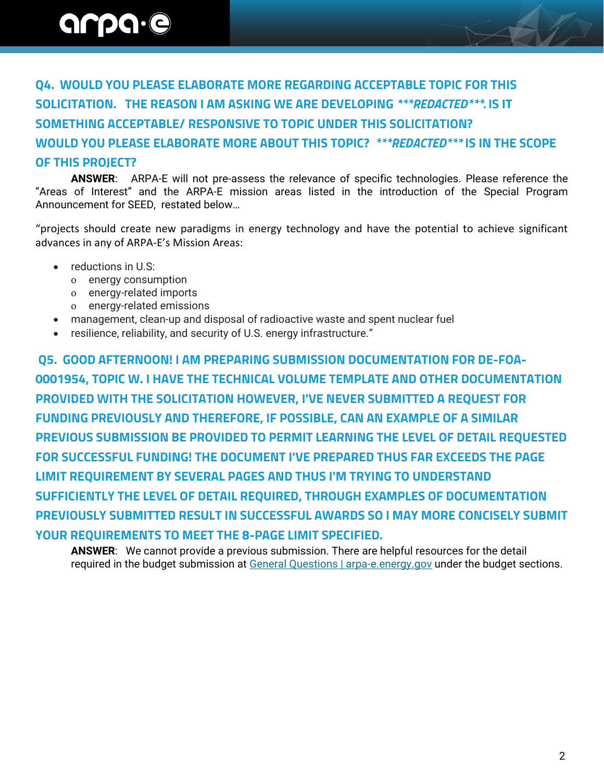**Q4. WOULD YOU PLEASE ELABORATE MORE REGARDING ACCEPTABLE TOPIC FOR THIS SOLICITATION. THE REASON I AM ASKING WE ARE DEVELOPING** *\*\*\*REDACTED\*\*\*.* **IS IT SOMETHING ACCEPTABLE/ RESPONSIVE TO TOPIC UNDER THIS SOLICITATION? WOULD YOU PLEASE ELABORATE MORE ABOUT THIS TOPIC?** *\*\*\*REDACTED\*\*\** **IS IN THE SCOPE OF THIS PROJECT?**

 **ANSWER**: ARPA-E will not pre-assess the relevance of specific technologies. Please reference the "Areas of Interest" and the ARPA-E mission areas listed in the introduction of the Special Program Announcement for SEED, restated below…

"projects should create new paradigms in energy technology and have the potential to achieve significant advances in any of ARPA-E's Mission Areas:

- reductions in U.S:
	- o energy consumption
	- o energy-related imports
	- o energy-related emissions
- management, clean-up and disposal of radioactive waste and spent nuclear fuel
- resilience, reliability, and security of U.S. energy infrastructure."

**Q5. GOOD AFTERNOON! I AM PREPARING SUBMISSION DOCUMENTATION FOR DE-FOA-0001954, TOPIC W. I HAVE THE TECHNICAL VOLUME TEMPLATE AND OTHER DOCUMENTATION PROVIDED WITH THE SOLICITATION HOWEVER, I'VE NEVER SUBMITTED A REQUEST FOR FUNDING PREVIOUSLY AND THEREFORE, IF POSSIBLE, CAN AN EXAMPLE OF A SIMILAR PREVIOUS SUBMISSION BE PROVIDED TO PERMIT LEARNING THE LEVEL OF DETAIL REQUESTED FOR SUCCESSFUL FUNDING! THE DOCUMENT I'VE PREPARED THUS FAR EXCEEDS THE PAGE LIMIT REQUIREMENT BY SEVERAL PAGES AND THUS I'M TRYING TO UNDERSTAND SUFFICIENTLY THE LEVEL OF DETAIL REQUIRED, THROUGH EXAMPLES OF DOCUMENTATION PREVIOUSLY SUBMITTED RESULT IN SUCCESSFUL AWARDS SO I MAY MORE CONCISELY SUBMIT YOUR REQUIREMENTS TO MEET THE 8-PAGE LIMIT SPECIFIED.**

**ANSWER**: We cannot provide a previous submission. There are helpful resources for the detail required in the budget submission at [General Questions | arpa-e.energy.gov](https://arpa-e.energy.gov/faqs/general-questions) under the budget sections.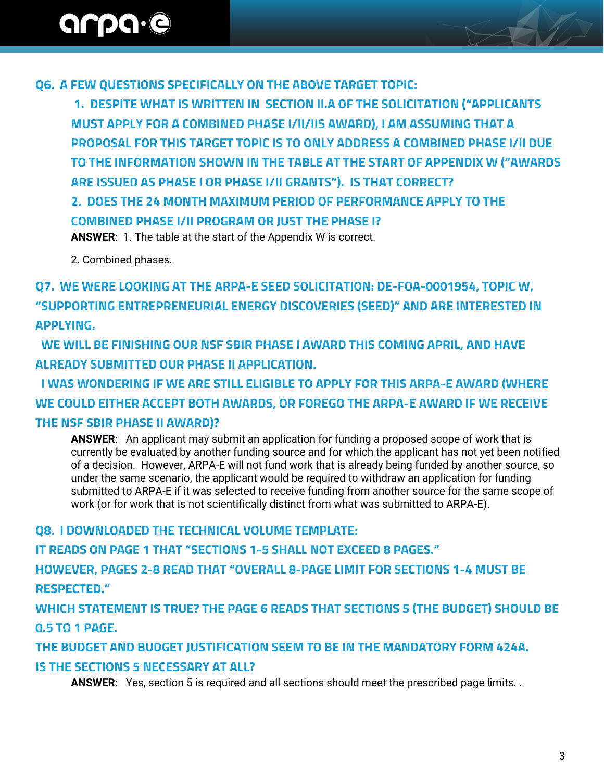**Q6. A FEW QUESTIONS SPECIFICALLY ON THE ABOVE TARGET TOPIC:**

**1. DESPITE WHAT IS WRITTEN IN SECTION II.A OF THE SOLICITATION ("APPLICANTS MUST APPLY FOR A COMBINED PHASE I/II/IIS AWARD), I AM ASSUMING THAT A PROPOSAL FOR THIS TARGET TOPIC IS TO ONLY ADDRESS A COMBINED PHASE I/II DUE TO THE INFORMATION SHOWN IN THE TABLE AT THE START OF APPENDIX W ("AWARDS ARE ISSUED AS PHASE I OR PHASE I/II GRANTS"). IS THAT CORRECT?**

**2. DOES THE 24 MONTH MAXIMUM PERIOD OF PERFORMANCE APPLY TO THE COMBINED PHASE I/II PROGRAM OR JUST THE PHASE I?**

**ANSWER**: 1. The table at the start of the Appendix W is correct.

2. Combined phases.

**Q7. WE WERE LOOKING AT THE ARPA-E SEED SOLICITATION: DE-FOA-0001954, TOPIC W, "SUPPORTING ENTREPRENEURIAL ENERGY DISCOVERIES (SEED)" AND ARE INTERESTED IN APPLYING.** 

 **WE WILL BE FINISHING OUR NSF SBIR PHASE I AWARD THIS COMING APRIL, AND HAVE ALREADY SUBMITTED OUR PHASE II APPLICATION.** 

 **I WAS WONDERING IF WE ARE STILL ELIGIBLE TO APPLY FOR THIS ARPA-E AWARD (WHERE WE COULD EITHER ACCEPT BOTH AWARDS, OR FOREGO THE ARPA-E AWARD IF WE RECEIVE THE NSF SBIR PHASE II AWARD)?**

**ANSWER**: An applicant may submit an application for funding a proposed scope of work that is currently be evaluated by another funding source and for which the applicant has not yet been notified of a decision. However, ARPA-E will not fund work that is already being funded by another source, so under the same scenario, the applicant would be required to withdraw an application for funding submitted to ARPA-E if it was selected to receive funding from another source for the same scope of work (or for work that is not scientifically distinct from what was submitted to ARPA-E).

**Q8. I DOWNLOADED THE TECHNICAL VOLUME TEMPLATE:**

**IT READS ON PAGE 1 THAT "SECTIONS 1-5 SHALL NOT EXCEED 8 PAGES."** 

**HOWEVER, PAGES 2-8 READ THAT "OVERALL 8-PAGE LIMIT FOR SECTIONS 1-4 MUST BE RESPECTED."** 

**WHICH STATEMENT IS TRUE? THE PAGE 6 READS THAT SECTIONS 5 (THE BUDGET) SHOULD BE 0.5 TO 1 PAGE.** 

**THE BUDGET AND BUDGET JUSTIFICATION SEEM TO BE IN THE MANDATORY FORM 424A.** 

#### **IS THE SECTIONS 5 NECESSARY AT ALL?**

**ANSWER**: Yes, section 5 is required and all sections should meet the prescribed page limits. .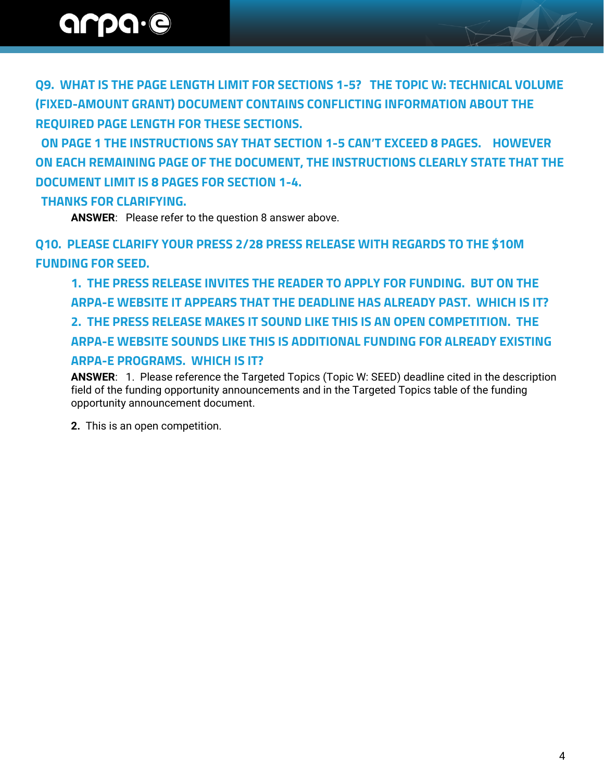**Q9. WHAT IS THE PAGE LENGTH LIMIT FOR SECTIONS 1-5? THE TOPIC W: TECHNICAL VOLUME (FIXED-AMOUNT GRANT) DOCUMENT CONTAINS CONFLICTING INFORMATION ABOUT THE REQUIRED PAGE LENGTH FOR THESE SECTIONS.** 

 **ON PAGE 1 THE INSTRUCTIONS SAY THAT SECTION 1-5 CAN'T EXCEED 8 PAGES. HOWEVER ON EACH REMAINING PAGE OF THE DOCUMENT, THE INSTRUCTIONS CLEARLY STATE THAT THE DOCUMENT LIMIT IS 8 PAGES FOR SECTION 1-4.** 

#### **THANKS FOR CLARIFYING.**

**ANSWER**: Please refer to the question 8 answer above.

**Q10. PLEASE CLARIFY YOUR PRESS 2/28 PRESS RELEASE WITH REGARDS TO THE \$10M FUNDING FOR SEED.**

**1. THE PRESS RELEASE INVITES THE READER TO APPLY FOR FUNDING. BUT ON THE ARPA-E WEBSITE IT APPEARS THAT THE DEADLINE HAS ALREADY PAST. WHICH IS IT? 2. THE PRESS RELEASE MAKES IT SOUND LIKE THIS IS AN OPEN COMPETITION. THE ARPA-E WEBSITE SOUNDS LIKE THIS IS ADDITIONAL FUNDING FOR ALREADY EXISTING ARPA-E PROGRAMS. WHICH IS IT?**

**ANSWER**: 1. Please reference the Targeted Topics (Topic W: SEED) deadline cited in the description field of the funding opportunity announcements and in the Targeted Topics table of the funding opportunity announcement document.

**2.** This is an open competition.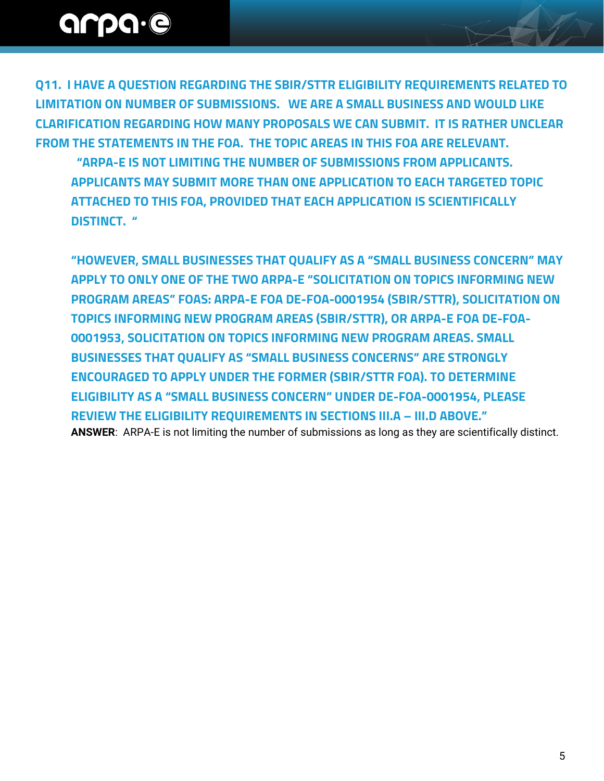**Q11. I HAVE A QUESTION REGARDING THE SBIR/STTR ELIGIBILITY REQUIREMENTS RELATED TO LIMITATION ON NUMBER OF SUBMISSIONS. WE ARE A SMALL BUSINESS AND WOULD LIKE CLARIFICATION REGARDING HOW MANY PROPOSALS WE CAN SUBMIT. IT IS RATHER UNCLEAR FROM THE STATEMENTS IN THE FOA. THE TOPIC AREAS IN THIS FOA ARE RELEVANT.**

 **"ARPA-E IS NOT LIMITING THE NUMBER OF SUBMISSIONS FROM APPLICANTS. APPLICANTS MAY SUBMIT MORE THAN ONE APPLICATION TO EACH TARGETED TOPIC ATTACHED TO THIS FOA, PROVIDED THAT EACH APPLICATION IS SCIENTIFICALLY DISTINCT. "**

**"HOWEVER, SMALL BUSINESSES THAT QUALIFY AS A "SMALL BUSINESS CONCERN" MAY APPLY TO ONLY ONE OF THE TWO ARPA-E "SOLICITATION ON TOPICS INFORMING NEW PROGRAM AREAS" FOAS: ARPA-E FOA DE-FOA-0001954 (SBIR/STTR), SOLICITATION ON TOPICS INFORMING NEW PROGRAM AREAS (SBIR/STTR), OR ARPA-E FOA DE-FOA-0001953, SOLICITATION ON TOPICS INFORMING NEW PROGRAM AREAS. SMALL BUSINESSES THAT QUALIFY AS "SMALL BUSINESS CONCERNS" ARE STRONGLY ENCOURAGED TO APPLY UNDER THE FORMER (SBIR/STTR FOA). TO DETERMINE ELIGIBILITY AS A "SMALL BUSINESS CONCERN" UNDER DE-FOA-0001954, PLEASE REVIEW THE ELIGIBILITY REQUIREMENTS IN SECTIONS III.A – III.D ABOVE." ANSWER**: ARPA-E is not limiting the number of submissions as long as they are scientifically distinct.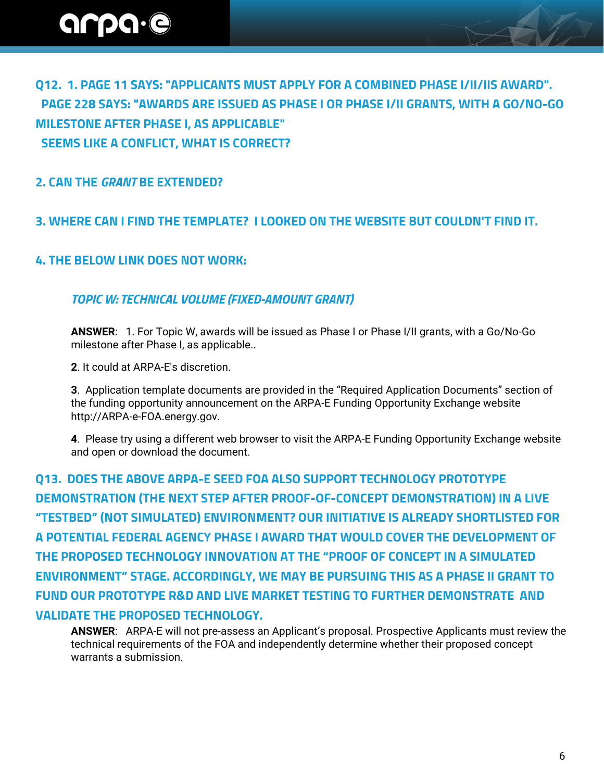**Q12. 1. PAGE 11 SAYS: "APPLICANTS MUST APPLY FOR A COMBINED PHASE I/II/IIS AWARD". PAGE 228 SAYS: "AWARDS ARE ISSUED AS PHASE I OR PHASE I/II GRANTS, WITH A GO/NO-GO MILESTONE AFTER PHASE I, AS APPLICABLE" SEEMS LIKE A CONFLICT, WHAT IS CORRECT?**

**2. CAN THE** *GRANT* **BE EXTENDED?**

#### **3. WHERE CAN I FIND THE TEMPLATE? I LOOKED ON THE WEBSITE BUT COULDN'T FIND IT.**

#### **4. THE BELOW LINK DOES NOT WORK:**

#### *TOPIC W: TECHNICAL VOLUME (FIXED-AMOUNT GRANT)*

**ANSWER**: 1. For Topic W, awards will be issued as Phase I or Phase I/II grants, with a Go/No-Go milestone after Phase I, as applicable..

**2**. It could at ARPA-E's discretion.

**3**. Application template documents are provided in the "Required Application Documents" section of the funding opportunity announcement on the ARPA-E Funding Opportunity Exchange website http://ARPA-e-FOA.energy.gov.

**4**. Please try using a different web browser to visit the ARPA-E Funding Opportunity Exchange website and open or download the document.

**Q13. DOES THE ABOVE ARPA-E SEED FOA ALSO SUPPORT TECHNOLOGY PROTOTYPE DEMONSTRATION (THE NEXT STEP AFTER PROOF-OF-CONCEPT DEMONSTRATION) IN A LIVE "TESTBED" (NOT SIMULATED) ENVIRONMENT? OUR INITIATIVE IS ALREADY SHORTLISTED FOR A POTENTIAL FEDERAL AGENCY PHASE I AWARD THAT WOULD COVER THE DEVELOPMENT OF THE PROPOSED TECHNOLOGY INNOVATION AT THE "PROOF OF CONCEPT IN A SIMULATED ENVIRONMENT" STAGE. ACCORDINGLY, WE MAY BE PURSUING THIS AS A PHASE II GRANT TO FUND OUR PROTOTYPE R&D AND LIVE MARKET TESTING TO FURTHER DEMONSTRATE AND VALIDATE THE PROPOSED TECHNOLOGY.**

**ANSWER**: ARPA-E will not pre-assess an Applicant's proposal. Prospective Applicants must review the technical requirements of the FOA and independently determine whether their proposed concept warrants a submission.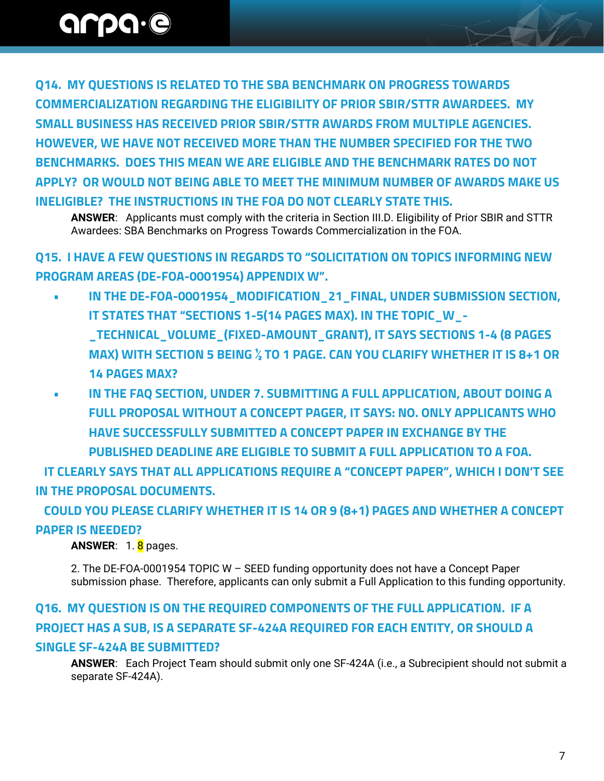**Q14. MY QUESTIONS IS RELATED TO THE SBA BENCHMARK ON PROGRESS TOWARDS COMMERCIALIZATION REGARDING THE ELIGIBILITY OF PRIOR SBIR/STTR AWARDEES. MY SMALL BUSINESS HAS RECEIVED PRIOR SBIR/STTR AWARDS FROM MULTIPLE AGENCIES. HOWEVER, WE HAVE NOT RECEIVED MORE THAN THE NUMBER SPECIFIED FOR THE TWO BENCHMARKS. DOES THIS MEAN WE ARE ELIGIBLE AND THE BENCHMARK RATES DO NOT APPLY? OR WOULD NOT BEING ABLE TO MEET THE MINIMUM NUMBER OF AWARDS MAKE US INELIGIBLE? THE INSTRUCTIONS IN THE FOA DO NOT CLEARLY STATE THIS.**

**ANSWER**: Applicants must comply with the criteria in Section III.D. Eligibility of Prior SBIR and STTR Awardees: SBA Benchmarks on Progress Towards Commercialization in the FOA.

**Q15. I HAVE A FEW QUESTIONS IN REGARDS TO "SOLICITATION ON TOPICS INFORMING NEW PROGRAM AREAS (DE-FOA-0001954) APPENDIX W".**

- **IN THE DE-FOA-0001954\_MODIFICATION\_21\_FINAL, UNDER SUBMISSION SECTION, IT STATES THAT "SECTIONS 1-5(14 PAGES MAX). IN THE TOPIC\_W\_- \_TECHNICAL\_VOLUME\_(FIXED-AMOUNT\_GRANT), IT SAYS SECTIONS 1-4 (8 PAGES MAX) WITH SECTION 5 BEING ½ TO 1 PAGE. CAN YOU CLARIFY WHETHER IT IS 8+1 OR 14 PAGES MAX?**
- **IN THE FAQ SECTION, UNDER 7. SUBMITTING A FULL APPLICATION, ABOUT DOING A FULL PROPOSAL WITHOUT A CONCEPT PAGER, IT SAYS: NO. ONLY APPLICANTS WHO HAVE SUCCESSFULLY SUBMITTED A CONCEPT PAPER IN EXCHANGE BY THE PUBLISHED DEADLINE ARE ELIGIBLE TO SUBMIT A FULL APPLICATION TO A FOA.**

 **IT CLEARLY SAYS THAT ALL APPLICATIONS REQUIRE A "CONCEPT PAPER", WHICH I DON'T SEE IN THE PROPOSAL DOCUMENTS.**

 **COULD YOU PLEASE CLARIFY WHETHER IT IS 14 OR 9 (8+1) PAGES AND WHETHER A CONCEPT PAPER IS NEEDED?**

ANSWER: 1.8 pages.

2. The DE-FOA-0001954 TOPIC W – SEED funding opportunity does not have a Concept Paper submission phase. Therefore, applicants can only submit a Full Application to this funding opportunity.

### **Q16. MY QUESTION IS ON THE REQUIRED COMPONENTS OF THE FULL APPLICATION. IF A PROJECT HAS A SUB, IS A SEPARATE SF-424A REQUIRED FOR EACH ENTITY, OR SHOULD A SINGLE SF-424A BE SUBMITTED?**

**ANSWER**: Each Project Team should submit only one SF-424A (i.e., a Subrecipient should not submit a separate SF-424A).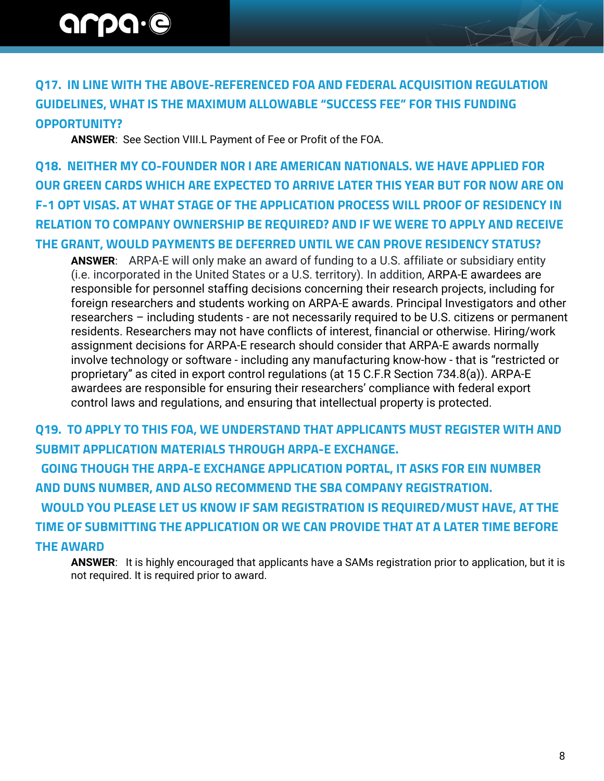### **Q17. IN LINE WITH THE ABOVE-REFERENCED FOA AND FEDERAL ACQUISITION REGULATION GUIDELINES, WHAT IS THE MAXIMUM ALLOWABLE "SUCCESS FEE" FOR THIS FUNDING OPPORTUNITY?**

**ANSWER**: See Section VIII.L Payment of Fee or Profit of the FOA.

**Q18. NEITHER MY CO-FOUNDER NOR I ARE AMERICAN NATIONALS. WE HAVE APPLIED FOR OUR GREEN CARDS WHICH ARE EXPECTED TO ARRIVE LATER THIS YEAR BUT FOR NOW ARE ON F-1 OPT VISAS. AT WHAT STAGE OF THE APPLICATION PROCESS WILL PROOF OF RESIDENCY IN RELATION TO COMPANY OWNERSHIP BE REQUIRED? AND IF WE WERE TO APPLY AND RECEIVE THE GRANT, WOULD PAYMENTS BE DEFERRED UNTIL WE CAN PROVE RESIDENCY STATUS?**

**ANSWER**: ARPA-E will only make an award of funding to a U.S. affiliate or subsidiary entity (i.e. incorporated in the United States or a U.S. territory). In addition, ARPA-E awardees are responsible for personnel staffing decisions concerning their research projects, including for foreign researchers and students working on ARPA-E awards. Principal Investigators and other researchers – including students - are not necessarily required to be U.S. citizens or permanent residents. Researchers may not have conflicts of interest, financial or otherwise. Hiring/work assignment decisions for ARPA-E research should consider that ARPA-E awards normally involve technology or software - including any manufacturing know-how - that is "restricted or proprietary" as cited in export control regulations (at 15 C.F.R Section 734.8(a)). ARPA-E awardees are responsible for ensuring their researchers' compliance with federal export control laws and regulations, and ensuring that intellectual property is protected.

**Q19. TO APPLY TO THIS FOA, WE UNDERSTAND THAT APPLICANTS MUST REGISTER WITH AND SUBMIT APPLICATION MATERIALS THROUGH ARPA-E EXCHANGE. GOING THOUGH THE ARPA-E EXCHANGE APPLICATION PORTAL, IT ASKS FOR EIN NUMBER AND DUNS NUMBER, AND ALSO RECOMMEND THE SBA COMPANY REGISTRATION. WOULD YOU PLEASE LET US KNOW IF SAM REGISTRATION IS REQUIRED/MUST HAVE, AT THE TIME OF SUBMITTING THE APPLICATION OR WE CAN PROVIDE THAT AT A LATER TIME BEFORE THE AWARD** 

**ANSWER**: It is highly encouraged that applicants have a SAMs registration prior to application, but it is not required. It is required prior to award.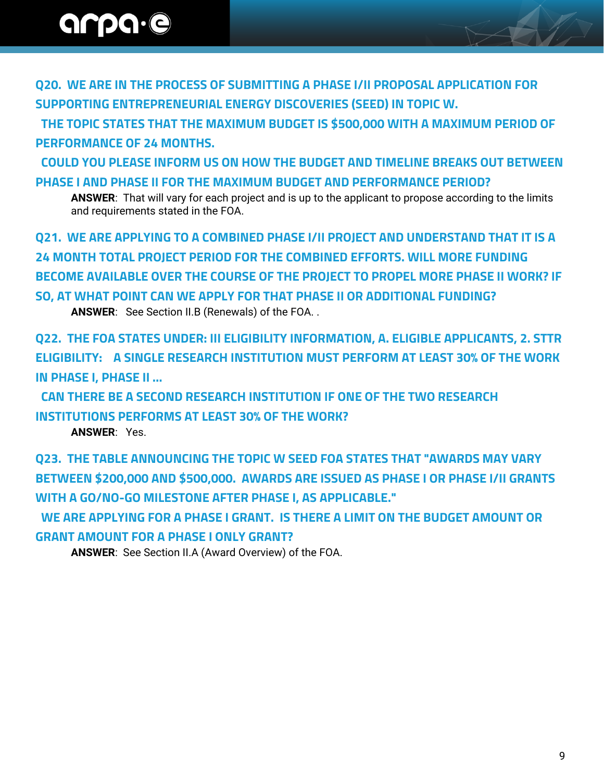**Q20. WE ARE IN THE PROCESS OF SUBMITTING A PHASE I/II PROPOSAL APPLICATION FOR SUPPORTING ENTREPRENEURIAL ENERGY DISCOVERIES (SEED) IN TOPIC W.**

 **THE TOPIC STATES THAT THE MAXIMUM BUDGET IS \$500,000 WITH A MAXIMUM PERIOD OF PERFORMANCE OF 24 MONTHS.**

**COULD YOU PLEASE INFORM US ON HOW THE BUDGET AND TIMELINE BREAKS OUT BETWEEN PHASE I AND PHASE II FOR THE MAXIMUM BUDGET AND PERFORMANCE PERIOD?**

**ANSWER**: That will vary for each project and is up to the applicant to propose according to the limits and requirements stated in the FOA.

**Q21. WE ARE APPLYING TO A COMBINED PHASE I/II PROJECT AND UNDERSTAND THAT IT IS A 24 MONTH TOTAL PROJECT PERIOD FOR THE COMBINED EFFORTS. WILL MORE FUNDING BECOME AVAILABLE OVER THE COURSE OF THE PROJECT TO PROPEL MORE PHASE II WORK? IF SO, AT WHAT POINT CAN WE APPLY FOR THAT PHASE II OR ADDITIONAL FUNDING?**

**ANSWER**: See Section II.B (Renewals) of the FOA. .

**Q22. THE FOA STATES UNDER: III ELIGIBILITY INFORMATION, A. ELIGIBLE APPLICANTS, 2. STTR ELIGIBILITY: A SINGLE RESEARCH INSTITUTION MUST PERFORM AT LEAST 30% OF THE WORK IN PHASE I, PHASE II …**

 **CAN THERE BE A SECOND RESEARCH INSTITUTION IF ONE OF THE TWO RESEARCH INSTITUTIONS PERFORMS AT LEAST 30% OF THE WORK?**

**ANSWER**: Yes.

**Q23. THE TABLE ANNOUNCING THE TOPIC W SEED FOA STATES THAT "AWARDS MAY VARY BETWEEN \$200,000 AND \$500,000. AWARDS ARE ISSUED AS PHASE I OR PHASE I/II GRANTS WITH A GO/NO-GO MILESTONE AFTER PHASE I, AS APPLICABLE."**

 **WE ARE APPLYING FOR A PHASE I GRANT. IS THERE A LIMIT ON THE BUDGET AMOUNT OR GRANT AMOUNT FOR A PHASE I ONLY GRANT?**

**ANSWER**: See Section II.A (Award Overview) of the FOA.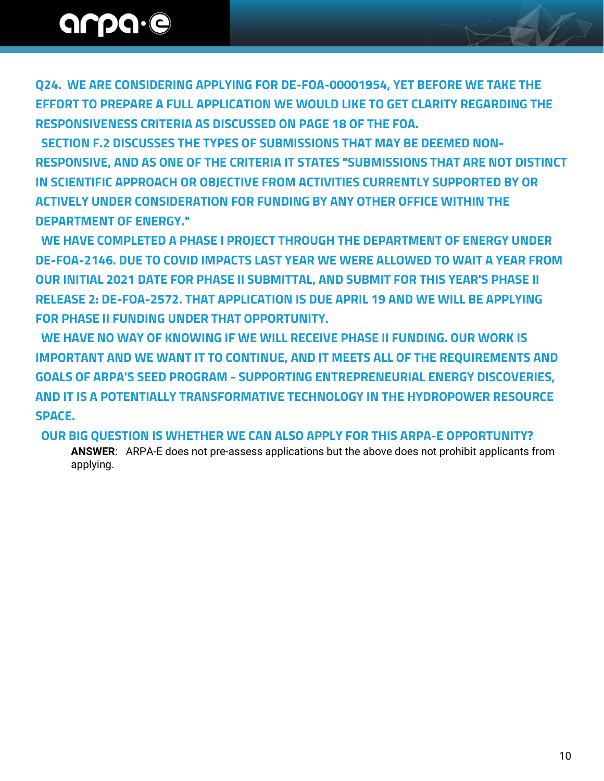**Q24. WE ARE CONSIDERING APPLYING FOR DE-FOA-00001954, YET BEFORE WE TAKE THE EFFORT TO PREPARE A FULL APPLICATION WE WOULD LIKE TO GET CLARITY REGARDING THE RESPONSIVENESS CRITERIA AS DISCUSSED ON PAGE 18 OF THE FOA.**

 **SECTION F.2 DISCUSSES THE TYPES OF SUBMISSIONS THAT MAY BE DEEMED NON-RESPONSIVE, AND AS ONE OF THE CRITERIA IT STATES "SUBMISSIONS THAT ARE NOT DISTINCT IN SCIENTIFIC APPROACH OR OBJECTIVE FROM ACTIVITIES CURRENTLY SUPPORTED BY OR ACTIVELY UNDER CONSIDERATION FOR FUNDING BY ANY OTHER OFFICE WITHIN THE DEPARTMENT OF ENERGY."**

 **WE HAVE COMPLETED A PHASE I PROJECT THROUGH THE DEPARTMENT OF ENERGY UNDER DE-FOA-2146. DUE TO COVID IMPACTS LAST YEAR WE WERE ALLOWED TO WAIT A YEAR FROM OUR INITIAL 2021 DATE FOR PHASE II SUBMITTAL, AND SUBMIT FOR THIS YEAR'S PHASE II RELEASE 2: DE-FOA-2572. THAT APPLICATION IS DUE APRIL 19 AND WE WILL BE APPLYING FOR PHASE II FUNDING UNDER THAT OPPORTUNITY.**

 **WE HAVE NO WAY OF KNOWING IF WE WILL RECEIVE PHASE II FUNDING. OUR WORK IS IMPORTANT AND WE WANT IT TO CONTINUE, AND IT MEETS ALL OF THE REQUIREMENTS AND GOALS OF ARPA'S SEED PROGRAM - SUPPORTING ENTREPRENEURIAL ENERGY DISCOVERIES, AND IT IS A POTENTIALLY TRANSFORMATIVE TECHNOLOGY IN THE HYDROPOWER RESOURCE SPACE.**

 **OUR BIG QUESTION IS WHETHER WE CAN ALSO APPLY FOR THIS ARPA-E OPPORTUNITY?**

**ANSWER**: ARPA-E does not pre-assess applications but the above does not prohibit applicants from applying.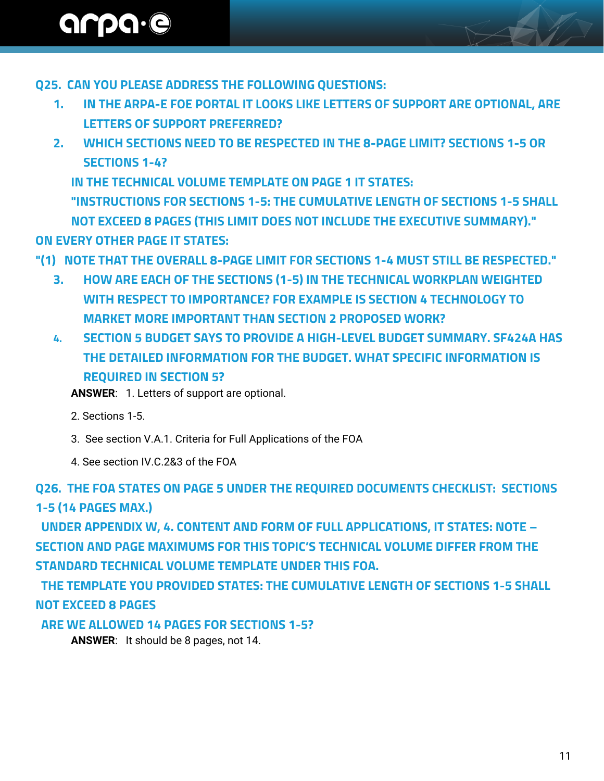### **Q25. CAN YOU PLEASE ADDRESS THE FOLLOWING QUESTIONS:**

- **1. IN THE ARPA-E FOE PORTAL IT LOOKS LIKE LETTERS OF SUPPORT ARE OPTIONAL, ARE LETTERS OF SUPPORT PREFERRED?**
- **2. WHICH SECTIONS NEED TO BE RESPECTED IN THE 8-PAGE LIMIT? SECTIONS 1-5 OR SECTIONS 1-4?**

**IN THE TECHNICAL VOLUME TEMPLATE ON PAGE 1 IT STATES:**

**"INSTRUCTIONS FOR SECTIONS 1-5: THE CUMULATIVE LENGTH OF SECTIONS 1-5 SHALL NOT EXCEED 8 PAGES (THIS LIMIT DOES NOT INCLUDE THE EXECUTIVE SUMMARY)." ON EVERY OTHER PAGE IT STATES:**

**"(1) NOTE THAT THE OVERALL 8-PAGE LIMIT FOR SECTIONS 1-4 MUST STILL BE RESPECTED."**

- **3. HOW ARE EACH OF THE SECTIONS (1-5) IN THE TECHNICAL WORKPLAN WEIGHTED WITH RESPECT TO IMPORTANCE? FOR EXAMPLE IS SECTION 4 TECHNOLOGY TO MARKET MORE IMPORTANT THAN SECTION 2 PROPOSED WORK?**
- **4. SECTION 5 BUDGET SAYS TO PROVIDE A HIGH-LEVEL BUDGET SUMMARY. SF424A HAS THE DETAILED INFORMATION FOR THE BUDGET. WHAT SPECIFIC INFORMATION IS REQUIRED IN SECTION 5?**

**ANSWER**: 1. Letters of support are optional.

- 2. Sections 1-5.
- 3. See section V.A.1. Criteria for Full Applications of the FOA
- 4. See section IV.C.2&3 of the FOA

**Q26. THE FOA STATES ON PAGE 5 UNDER THE REQUIRED DOCUMENTS CHECKLIST: SECTIONS 1-5 (14 PAGES MAX.)**

 **UNDER APPENDIX W, 4. CONTENT AND FORM OF FULL APPLICATIONS, IT STATES: NOTE – SECTION AND PAGE MAXIMUMS FOR THIS TOPIC'S TECHNICAL VOLUME DIFFER FROM THE STANDARD TECHNICAL VOLUME TEMPLATE UNDER THIS FOA.** 

 **THE TEMPLATE YOU PROVIDED STATES: THE CUMULATIVE LENGTH OF SECTIONS 1-5 SHALL NOT EXCEED 8 PAGES**

 **ARE WE ALLOWED 14 PAGES FOR SECTIONS 1-5?**

**ANSWER**: It should be 8 pages, not 14.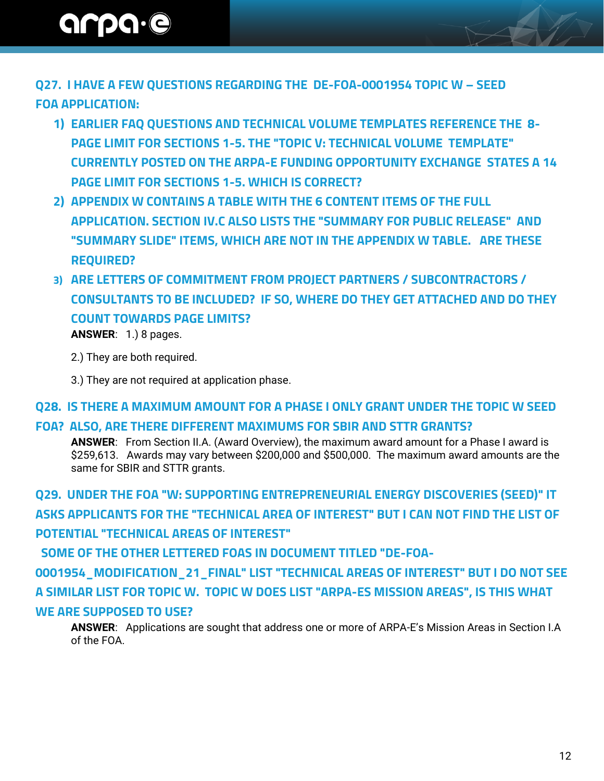**Q27. I HAVE A FEW QUESTIONS REGARDING THE DE-FOA-0001954 TOPIC W – SEED FOA APPLICATION:**

- **1) EARLIER FAQ QUESTIONS AND TECHNICAL VOLUME TEMPLATES REFERENCE THE 8- PAGE LIMIT FOR SECTIONS 1-5. THE "TOPIC V: TECHNICAL VOLUME TEMPLATE" CURRENTLY POSTED ON THE ARPA-E FUNDING OPPORTUNITY EXCHANGE STATES A 14 PAGE LIMIT FOR SECTIONS 1-5. WHICH IS CORRECT?**
- **2) APPENDIX W CONTAINS A TABLE WITH THE 6 CONTENT ITEMS OF THE FULL APPLICATION. SECTION IV.C ALSO LISTS THE "SUMMARY FOR PUBLIC RELEASE" AND "SUMMARY SLIDE" ITEMS, WHICH ARE NOT IN THE APPENDIX W TABLE. ARE THESE REQUIRED?**
- **3) ARE LETTERS OF COMMITMENT FROM PROJECT PARTNERS / SUBCONTRACTORS / CONSULTANTS TO BE INCLUDED? IF SO, WHERE DO THEY GET ATTACHED AND DO THEY COUNT TOWARDS PAGE LIMITS? ANSWER**: 1.) 8 pages.
	- 2.) They are both required.
	- 3.) They are not required at application phase.

#### **Q28. IS THERE A MAXIMUM AMOUNT FOR A PHASE I ONLY GRANT UNDER THE TOPIC W SEED**

#### **FOA? ALSO, ARE THERE DIFFERENT MAXIMUMS FOR SBIR AND STTR GRANTS?**

**ANSWER**: From Section II.A. (Award Overview), the maximum award amount for a Phase I award is \$259,613. Awards may vary between \$200,000 and \$500,000. The maximum award amounts are the same for SBIR and STTR grants.

**Q29. UNDER THE FOA "W: SUPPORTING ENTREPRENEURIAL ENERGY DISCOVERIES (SEED)" IT ASKS APPLICANTS FOR THE "TECHNICAL AREA OF INTEREST" BUT I CAN NOT FIND THE LIST OF POTENTIAL "TECHNICAL AREAS OF INTEREST" SOME OF THE OTHER LETTERED FOAS IN DOCUMENT TITLED "DE-FOA-0001954\_MODIFICATION\_21\_FINAL" LIST "TECHNICAL AREAS OF INTEREST" BUT I DO NOT SEE** 

**A SIMILAR LIST FOR TOPIC W. TOPIC W DOES LIST "ARPA-ES MISSION AREAS", IS THIS WHAT WE ARE SUPPOSED TO USE?**

**ANSWER**: Applications are sought that address one or more of ARPA-E's Mission Areas in Section I.A of the FOA.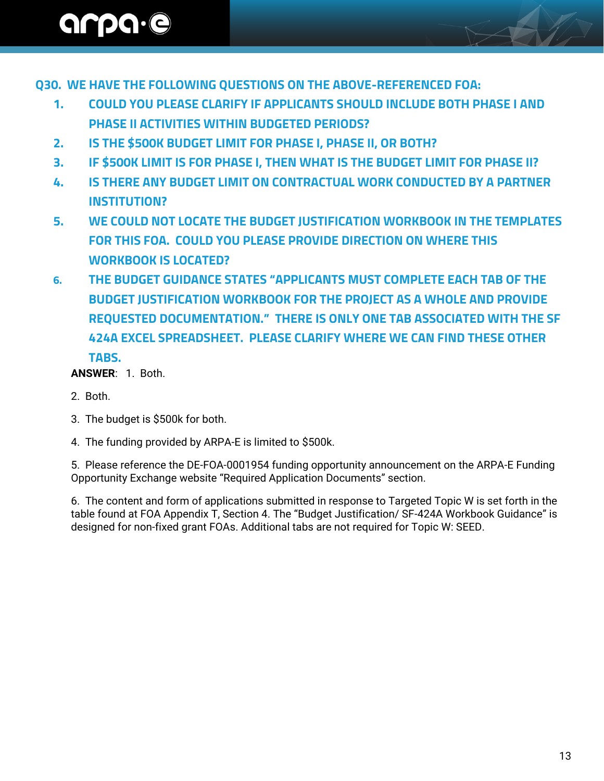**Q30. WE HAVE THE FOLLOWING QUESTIONS ON THE ABOVE-REFERENCED FOA:**

- **1. COULD YOU PLEASE CLARIFY IF APPLICANTS SHOULD INCLUDE BOTH PHASE I AND PHASE II ACTIVITIES WITHIN BUDGETED PERIODS?**
- **2. IS THE \$500K BUDGET LIMIT FOR PHASE I, PHASE II, OR BOTH?**
- **3. IF \$500K LIMIT IS FOR PHASE I, THEN WHAT IS THE BUDGET LIMIT FOR PHASE II?**
- **4. IS THERE ANY BUDGET LIMIT ON CONTRACTUAL WORK CONDUCTED BY A PARTNER INSTITUTION?**
- **5. WE COULD NOT LOCATE THE BUDGET JUSTIFICATION WORKBOOK IN THE TEMPLATES FOR THIS FOA. COULD YOU PLEASE PROVIDE DIRECTION ON WHERE THIS WORKBOOK IS LOCATED?**
- **6. THE BUDGET GUIDANCE STATES "APPLICANTS MUST COMPLETE EACH TAB OF THE BUDGET JUSTIFICATION WORKBOOK FOR THE PROJECT AS A WHOLE AND PROVIDE REQUESTED DOCUMENTATION." THERE IS ONLY ONE TAB ASSOCIATED WITH THE SF 424A EXCEL SPREADSHEET. PLEASE CLARIFY WHERE WE CAN FIND THESE OTHER TABS.**

#### **ANSWER**: 1. Both.

- 2. Both.
- 3. The budget is \$500k for both.
- 4. The funding provided by ARPA-E is limited to \$500k.

5. Please reference the DE-FOA-0001954 funding opportunity announcement on the ARPA-E Funding Opportunity Exchange website "Required Application Documents" section.

6. The content and form of applications submitted in response to Targeted Topic W is set forth in the table found at FOA Appendix T, Section 4. The "Budget Justification/ SF-424A Workbook Guidance" is designed for non-fixed grant FOAs. Additional tabs are not required for Topic W: SEED.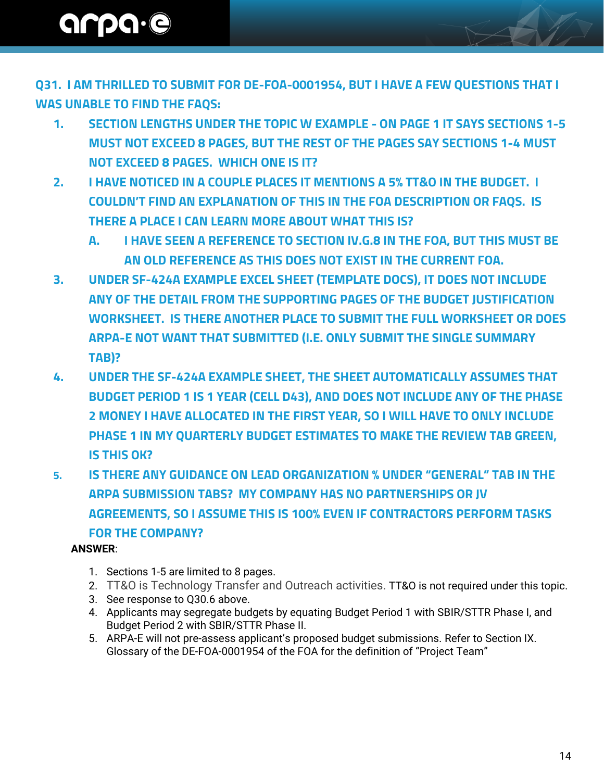**Q31. I AM THRILLED TO SUBMIT FOR DE-FOA-0001954, BUT I HAVE A FEW QUESTIONS THAT I WAS UNABLE TO FIND THE FAQS:**

- **1. SECTION LENGTHS UNDER THE TOPIC W EXAMPLE - ON PAGE 1 IT SAYS SECTIONS 1-5 MUST NOT EXCEED 8 PAGES, BUT THE REST OF THE PAGES SAY SECTIONS 1-4 MUST NOT EXCEED 8 PAGES. WHICH ONE IS IT?**
- **2. I HAVE NOTICED IN A COUPLE PLACES IT MENTIONS A 5% TT&O IN THE BUDGET. I COULDN'T FIND AN EXPLANATION OF THIS IN THE FOA DESCRIPTION OR FAQS. IS THERE A PLACE I CAN LEARN MORE ABOUT WHAT THIS IS?** 
	- **A. I HAVE SEEN A REFERENCE TO SECTION IV.G.8 IN THE FOA, BUT THIS MUST BE AN OLD REFERENCE AS THIS DOES NOT EXIST IN THE CURRENT FOA.**
- **3. UNDER SF-424A EXAMPLE EXCEL SHEET (TEMPLATE DOCS), IT DOES NOT INCLUDE ANY OF THE DETAIL FROM THE SUPPORTING PAGES OF THE BUDGET JUSTIFICATION WORKSHEET. IS THERE ANOTHER PLACE TO SUBMIT THE FULL WORKSHEET OR DOES ARPA-E NOT WANT THAT SUBMITTED (I.E. ONLY SUBMIT THE SINGLE SUMMARY TAB)?**
- **4. UNDER THE SF-424A EXAMPLE SHEET, THE SHEET AUTOMATICALLY ASSUMES THAT BUDGET PERIOD 1 IS 1 YEAR (CELL D43), AND DOES NOT INCLUDE ANY OF THE PHASE 2 MONEY I HAVE ALLOCATED IN THE FIRST YEAR, SO I WILL HAVE TO ONLY INCLUDE PHASE 1 IN MY QUARTERLY BUDGET ESTIMATES TO MAKE THE REVIEW TAB GREEN, IS THIS OK?**
- **5. IS THERE ANY GUIDANCE ON LEAD ORGANIZATION % UNDER "GENERAL" TAB IN THE ARPA SUBMISSION TABS? MY COMPANY HAS NO PARTNERSHIPS OR JV AGREEMENTS, SO I ASSUME THIS IS 100% EVEN IF CONTRACTORS PERFORM TASKS FOR THE COMPANY?**

#### **ANSWER**:

- 1. Sections 1-5 are limited to 8 pages.
- 2. TT&O is Technology Transfer and Outreach activities. TT&O is not required under this topic.
- 3. See response to Q30.6 above.
- 4. Applicants may segregate budgets by equating Budget Period 1 with SBIR/STTR Phase I, and Budget Period 2 with SBIR/STTR Phase II.
- 5. ARPA-E will not pre-assess applicant's proposed budget submissions. Refer to Section IX. Glossary of the DE-FOA-0001954 of the FOA for the definition of "Project Team"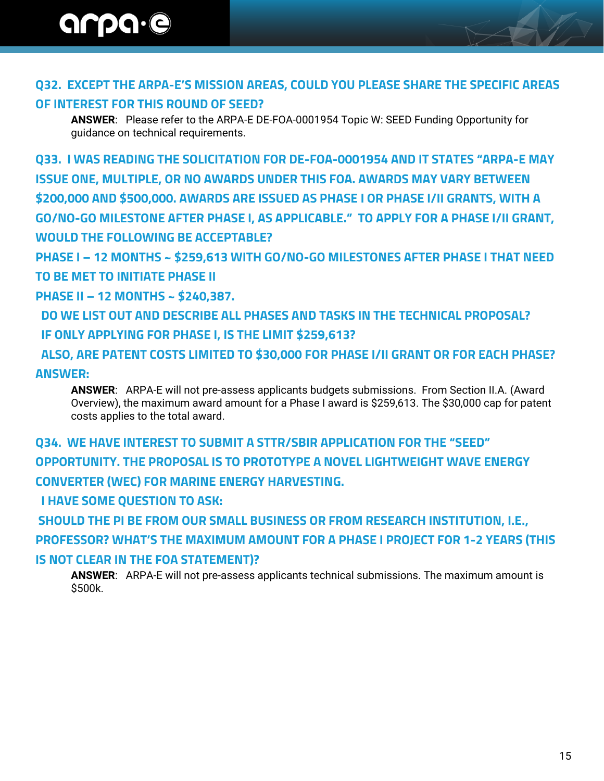### **Q32. EXCEPT THE ARPA-E'S MISSION AREAS, COULD YOU PLEASE SHARE THE SPECIFIC AREAS**

### **OF INTEREST FOR THIS ROUND OF SEED?**

**ANSWER**: Please refer to the ARPA-E DE-FOA-0001954 Topic W: SEED Funding Opportunity for guidance on technical requirements.

**Q33. I WAS READING THE SOLICITATION FOR DE-FOA-0001954 AND IT STATES "ARPA-E MAY ISSUE ONE, MULTIPLE, OR NO AWARDS UNDER THIS FOA. AWARDS MAY VARY BETWEEN \$200,000 AND \$500,000. AWARDS ARE ISSUED AS PHASE I OR PHASE I/II GRANTS, WITH A GO/NO-GO MILESTONE AFTER PHASE I, AS APPLICABLE." TO APPLY FOR A PHASE I/II GRANT, WOULD THE FOLLOWING BE ACCEPTABLE?**

**PHASE I – 12 MONTHS ~ \$259,613 WITH GO/NO-GO MILESTONES AFTER PHASE I THAT NEED TO BE MET TO INITIATE PHASE II** 

**PHASE II – 12 MONTHS ~ \$240,387.**

 **DO WE LIST OUT AND DESCRIBE ALL PHASES AND TASKS IN THE TECHNICAL PROPOSAL? IF ONLY APPLYING FOR PHASE I, IS THE LIMIT \$259,613?**

 **ALSO, ARE PATENT COSTS LIMITED TO \$30,000 FOR PHASE I/II GRANT OR FOR EACH PHASE? ANSWER:** 

**ANSWER**: ARPA-E will not pre-assess applicants budgets submissions. From Section II.A. (Award Overview), the maximum award amount for a Phase I award is \$259,613. The \$30,000 cap for patent costs applies to the total award.

**Q34. WE HAVE INTEREST TO SUBMIT A STTR/SBIR APPLICATION FOR THE "SEED" OPPORTUNITY. THE PROPOSAL IS TO PROTOTYPE A NOVEL LIGHTWEIGHT WAVE ENERGY CONVERTER (WEC) FOR MARINE ENERGY HARVESTING.** 

 **I HAVE SOME QUESTION TO ASK:** 

**SHOULD THE PI BE FROM OUR SMALL BUSINESS OR FROM RESEARCH INSTITUTION, I.E., PROFESSOR? WHAT'S THE MAXIMUM AMOUNT FOR A PHASE I PROJECT FOR 1-2 YEARS (THIS IS NOT CLEAR IN THE FOA STATEMENT)?** 

**ANSWER**: ARPA-E will not pre-assess applicants technical submissions. The maximum amount is \$500k.